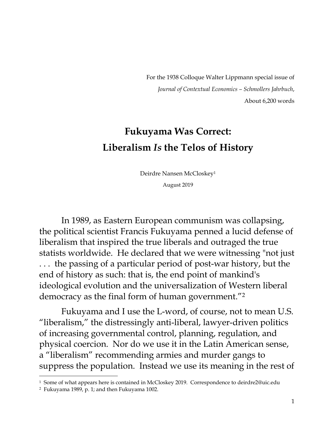For the 1938 Colloque Walter Lippmann special issue of *Journal of Contextual Economics – Schmollers Jahrbuch*, About 6,200 words

## **Fukuyama Was Correct: Liberalism** *Is* **the Telos of History**

Deirdre Nansen McCloskey<sup>1</sup>

August 2019

In 1989, as Eastern European communism was collapsing, the political scientist Francis Fukuyama penned a lucid defense of liberalism that inspired the true liberals and outraged the true statists worldwide. He declared that we were witnessing "not just . . . the passing of a particular period of post-war history, but the end of history as such: that is, the end point of mankind's ideological evolution and the universalization of Western liberal democracy as the final form of human government.<sup>"2</sup>

Fukuyama and I use the L-word, of course, not to mean U.S. "liberalism," the distressingly anti-liberal, lawyer-driven politics of increasing governmental control, planning, regulation, and physical coercion. Nor do we use it in the Latin American sense, a "liberalism" recommending armies and murder gangs to suppress the population. Instead we use its meaning in the rest of

<sup>1</sup> Some of what appears here is contained in McCloskey 2019. Correspondence to deirdre2@uic.edu

<sup>2</sup> Fukuyama 1989, p. 1; and then Fukuyama 1002.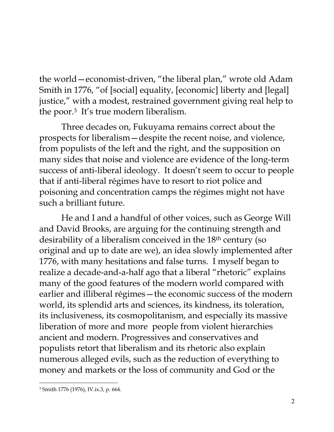the world—economist-driven, "the liberal plan," wrote old Adam Smith in 1776, "of [social] equality, [economic] liberty and [legal] justice," with a modest, restrained government giving real help to the poor.<sup>3</sup> It's true modern liberalism.

Three decades on, Fukuyama remains correct about the prospects for liberalism—despite the recent noise, and violence, from populists of the left and the right, and the supposition on many sides that noise and violence are evidence of the long-term success of anti-liberal ideology. It doesn't seem to occur to people that if anti-liberal régimes have to resort to riot police and poisoning and concentration camps the régimes might not have such a brilliant future.

He and I and a handful of other voices, such as George Will and David Brooks, are arguing for the continuing strength and desirability of a liberalism conceived in the 18<sup>th</sup> century (so original and up to date are we), an idea slowly implemented after 1776, with many hesitations and false turns. I myself began to realize a decade-and-a-half ago that a liberal "rhetoric" explains many of the good features of the modern world compared with earlier and illiberal régimes—the economic success of the modern world, its splendid arts and sciences, its kindness, its toleration, its inclusiveness, its cosmopolitanism, and especially its massive liberation of more and more people from violent hierarchies ancient and modern. Progressives and conservatives and populists retort that liberalism and its rhetoric also explain numerous alleged evils, such as the reduction of everything to money and markets or the loss of community and God or the

<sup>3</sup> Smith 1776 (1976), IV.ix.3, p. 664.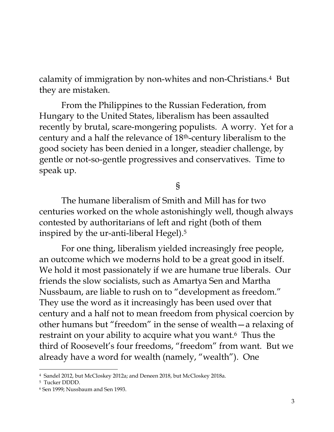calamity of immigration by non-whites and non-Christians. 4 But they are mistaken.

From the Philippines to the Russian Federation, from Hungary to the United States, liberalism has been assaulted recently by brutal, scare-mongering populists. A worry. Yet for a century and a half the relevance of 18th-century liberalism to the good society has been denied in a longer, steadier challenge, by gentle or not-so-gentle progressives and conservatives. Time to speak up.

§

The humane liberalism of Smith and Mill has for two centuries worked on the whole astonishingly well, though always contested by authoritarians of left and right (both of them inspired by the ur-anti-liberal Hegel). 5

For one thing, liberalism yielded increasingly free people, an outcome which we moderns hold to be a great good in itself. We hold it most passionately if we are humane true liberals. Our friends the slow socialists, such as Amartya Sen and Martha Nussbaum, are liable to rush on to "development as freedom." They use the word as it increasingly has been used over that century and a half not to mean freedom from physical coercion by other humans but "freedom" in the sense of wealth—a relaxing of restraint on your ability to acquire what you want.<sup>6</sup> Thus the third of Roosevelt's four freedoms, "freedom" from want. But we already have a word for wealth (namely, "wealth"). One

<sup>4</sup> Sandel 2012, but McCloskey 2012a; and Deneen 2018, but McCloskey 2018a.

<sup>5</sup> Tucker DDDD.

<sup>6</sup> Sen 1999; Nussbaum and Sen 1993.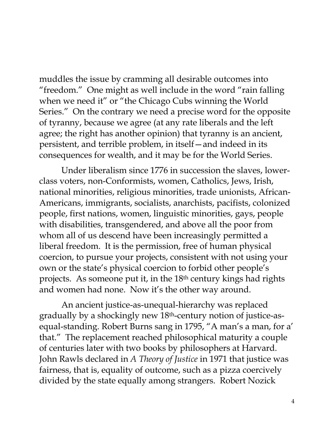muddles the issue by cramming all desirable outcomes into "freedom." One might as well include in the word "rain falling when we need it" or "the Chicago Cubs winning the World Series." On the contrary we need a precise word for the opposite of tyranny, because we agree (at any rate liberals and the left agree; the right has another opinion) that tyranny is an ancient, persistent, and terrible problem, in itself—and indeed in its consequences for wealth, and it may be for the World Series.

Under liberalism since 1776 in succession the slaves, lowerclass voters, non-Conformists, women, Catholics, Jews, Irish, national minorities, religious minorities, trade unionists, African-Americans, immigrants, socialists, anarchists, pacifists, colonized people, first nations, women, linguistic minorities, gays, people with disabilities, transgendered, and above all the poor from whom all of us descend have been increasingly permitted a liberal freedom. It is the permission, free of human physical coercion, to pursue your projects, consistent with not using your own or the state's physical coercion to forbid other people's projects. As someone put it, in the 18th century kings had rights and women had none. Now it's the other way around.

An ancient justice-as-unequal-hierarchy was replaced gradually by a shockingly new 18th-century notion of justice-asequal-standing. Robert Burns sang in 1795, "A man's a man, for a' that." The replacement reached philosophical maturity a couple of centuries later with two books by philosophers at Harvard. John Rawls declared in *A Theory of Justice* in 1971 that justice was fairness, that is, equality of outcome, such as a pizza coercively divided by the state equally among strangers. Robert Nozick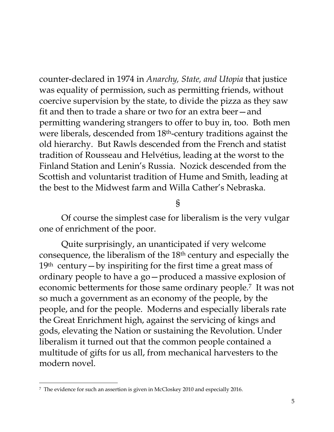counter-declared in 1974 in *Anarchy, State, and Utopia* that justice was equality of permission, such as permitting friends, without coercive supervision by the state, to divide the pizza as they saw fit and then to trade a share or two for an extra beer—and permitting wandering strangers to offer to buy in, too. Both men were liberals, descended from 18th-century traditions against the old hierarchy. But Rawls descended from the French and statist tradition of Rousseau and Helvétius, leading at the worst to the Finland Station and Lenin's Russia. Nozick descended from the Scottish and voluntarist tradition of Hume and Smith, leading at the best to the Midwest farm and Willa Cather's Nebraska.

## §

Of course the simplest case for liberalism is the very vulgar one of enrichment of the poor.

Quite surprisingly, an unanticipated if very welcome consequence, the liberalism of the 18th century and especially the  $19<sup>th</sup>$  century – by inspiriting for the first time a great mass of ordinary people to have a go—produced a massive explosion of economic betterments for those same ordinary people.<sup>7</sup> It was not so much a government as an economy of the people, by the people, and for the people. Moderns and especially liberals rate the Great Enrichment high, against the servicing of kings and gods, elevating the Nation or sustaining the Revolution. Under liberalism it turned out that the common people contained a multitude of gifts for us all, from mechanical harvesters to the modern novel.

<sup>7</sup> The evidence for such an assertion is given in McCloskey 2010 and especially 2016.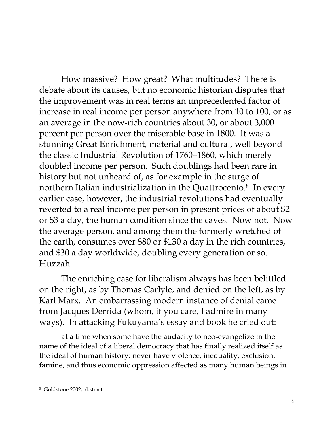How massive? How great? What multitudes? There is debate about its causes, but no economic historian disputes that the improvement was in real terms an unprecedented factor of increase in real income per person anywhere from 10 to 100, or as an average in the now-rich countries about 30, or about 3,000 percent per person over the miserable base in 1800. It was a stunning Great Enrichment, material and cultural, well beyond the classic Industrial Revolution of 1760–1860, which merely doubled income per person. Such doublings had been rare in history but not unheard of, as for example in the surge of northern Italian industrialization in the Quattrocento.<sup>8</sup> In every earlier case, however, the industrial revolutions had eventually reverted to a real income per person in present prices of about \$2 or \$3 a day, the human condition since the caves. Now not. Now the average person, and among them the formerly wretched of the earth, consumes over \$80 or \$130 a day in the rich countries, and \$30 a day worldwide, doubling every generation or so. Huzzah.

The enriching case for liberalism always has been belittled on the right, as by Thomas Carlyle, and denied on the left, as by Karl Marx. An embarrassing modern instance of denial came from Jacques Derrida (whom, if you care, I admire in many ways). In attacking Fukuyama's essay and book he cried out:

at a time when some have the audacity to neo-evangelize in the name of the ideal of a liberal democracy that has finally realized itself as the ideal of human history: never have violence, inequality, exclusion, famine, and thus economic oppression affected as many human beings in

<sup>8</sup> Goldstone 2002, abstract.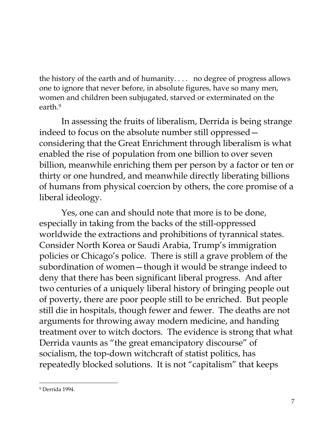the history of the earth and of humanity. . . . no degree of progress allows one to ignore that never before, in absolute figures, have so many men, women and children been subjugated, starved or exterminated on the earth. 9

In assessing the fruits of liberalism, Derrida is being strange indeed to focus on the absolute number still oppressed considering that the Great Enrichment through liberalism is what enabled the rise of population from one billion to over seven billion, meanwhile enriching them per person by a factor or ten or thirty or one hundred, and meanwhile directly liberating billions of humans from physical coercion by others, the core promise of a liberal ideology.

Yes, one can and should note that more is to be done, especially in taking from the backs of the still-oppressed worldwide the extractions and prohibitions of tyrannical states. Consider North Korea or Saudi Arabia, Trump's immigration policies or Chicago's police. There is still a grave problem of the subordination of women—though it would be strange indeed to deny that there has been significant liberal progress. And after two centuries of a uniquely liberal history of bringing people out of poverty, there are poor people still to be enriched. But people still die in hospitals, though fewer and fewer. The deaths are not arguments for throwing away modern medicine, and handing treatment over to witch doctors. The evidence is strong that what Derrida vaunts as "the great emancipatory discourse" of socialism, the top-down witchcraft of statist politics, has repeatedly blocked solutions. It is not "capitalism" that keeps

<sup>9</sup> Derrida 1994.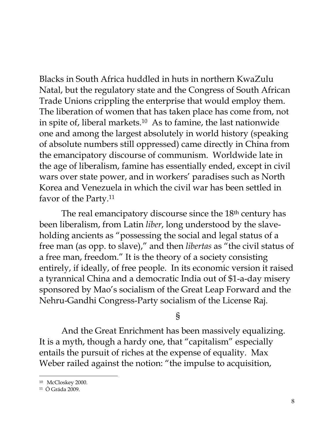Blacks in South Africa huddled in huts in northern KwaZulu Natal, but the regulatory state and the Congress of South African Trade Unions crippling the enterprise that would employ them. The liberation of women that has taken place has come from, not in spite of, liberal markets. $10$  As to famine, the last nationwide one and among the largest absolutely in world history (speaking of absolute numbers still oppressed) came directly in China from the emancipatory discourse of communism. Worldwide late in the age of liberalism, famine has essentially ended, except in civil wars over state power, and in workers' paradises such as North Korea and Venezuela in which the civil war has been settled in favor of the Party.<sup>11</sup>

The real emancipatory discourse since the 18<sup>th</sup> century has been liberalism, from Latin *liber*, long understood by the slaveholding ancients as "possessing the social and legal status of a free man (as opp. to slave)," and then *libertas* as "the civil status of a free man, freedom." It is the theory of a society consisting entirely, if ideally, of free people. In its economic version it raised a tyrannical China and a democratic India out of \$1-a-day misery sponsored by Mao's socialism of the Great Leap Forward and the Nehru-Gandhi Congress-Party socialism of the License Raj.

§

And the Great Enrichment has been massively equalizing. It is a myth, though a hardy one, that "capitalism" especially entails the pursuit of riches at the expense of equality. Max Weber railed against the notion: "the impulse to acquisition,

<sup>10</sup> McCloskey 2000.

<sup>11</sup> Ó Gráda 2009.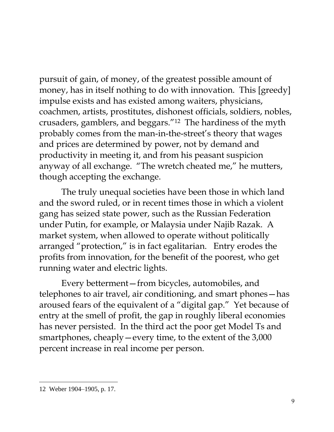pursuit of gain, of money, of the greatest possible amount of money, has in itself nothing to do with innovation. This [greedy] impulse exists and has existed among waiters, physicians, coachmen, artists, prostitutes, dishonest officials, soldiers, nobles, crusaders, gamblers, and beggars." 12 The hardiness of the myth probably comes from the man-in-the-street's theory that wages and prices are determined by power, not by demand and productivity in meeting it, and from his peasant suspicion anyway of all exchange. "The wretch cheated me," he mutters, though accepting the exchange.

The truly unequal societies have been those in which land and the sword ruled, or in recent times those in which a violent gang has seized state power, such as the Russian Federation under Putin, for example, or Malaysia under Najib Razak. A market system, when allowed to operate without politically arranged "protection," is in fact egalitarian. Entry erodes the profits from innovation, for the benefit of the poorest, who get running water and electric lights.

Every betterment—from bicycles, automobiles, and telephones to air travel, air conditioning, and smart phones—has aroused fears of the equivalent of a "digital gap." Yet because of entry at the smell of profit, the gap in roughly liberal economies has never persisted. In the third act the poor get Model Ts and smartphones, cheaply—every time, to the extent of the 3,000 percent increase in real income per person.

<sup>12</sup> Weber 1904–1905, p. 17.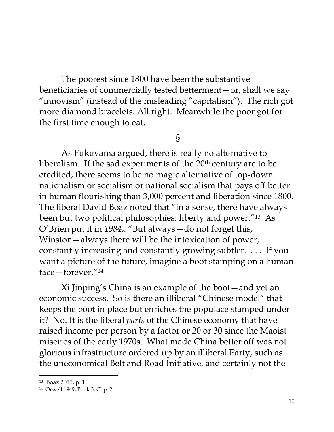The poorest since 1800 have been the substantive beneficiaries of commercially tested betterment—or, shall we say "innovism" (instead of the misleading "capitalism"). The rich got more diamond bracelets. All right. Meanwhile the poor got for the first time enough to eat.

§

As Fukuyama argued, there is really no alternative to liberalism. If the sad experiments of the 20<sup>th</sup> century are to be credited, there seems to be no magic alternative of top-down nationalism or socialism or national socialism that pays off better in human flourishing than 3,000 percent and liberation since 1800. The liberal David Boaz noted that "in a sense, there have always been but two political philosophies: liberty and power."<sup>13</sup> As O'Brien put it in *1984*,. "But always—do not forget this, Winston—always there will be the intoxication of power, constantly increasing and constantly growing subtler. . . . If you want a picture of the future, imagine a boot stamping on a human face—forever." 14

Xi Jinping's China is an example of the boot—and yet an economic success. So is there an illiberal "Chinese model" that keeps the boot in place but enriches the populace stamped under it? No. It is the liberal *parts* of the Chinese economy that have raised income per person by a factor or 20 or 30 since the Maoist miseries of the early 1970s. What made China better off was not glorious infrastructure ordered up by an illiberal Party, such as the uneconomical Belt and Road Initiative, and certainly not the

<sup>13</sup> Boaz 2015, p. 1.

<sup>14</sup> Orwell 1949, Book 3, Chp. 2.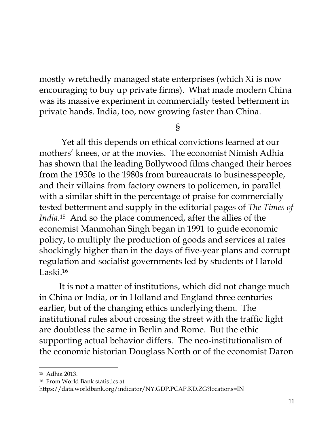mostly wretchedly managed state enterprises (which Xi is now encouraging to buy up private firms). What made modern China was its massive experiment in commercially tested betterment in private hands. India, too, now growing faster than China.

§

Yet all this depends on ethical convictions learned at our mothers' knees, or at the movies. The economist Nimish Adhia has shown that the leading Bollywood films changed their heroes from the 1950s to the 1980s from bureaucrats to businesspeople, and their villains from factory owners to policemen, in parallel with a similar shift in the percentage of praise for commercially tested betterment and supply in the editorial pages of *The Times of*  India.<sup>15</sup> And so the place commenced, after the allies of the economist Manmohan Singh began in 1991 to guide economic policy, to multiply the production of goods and services at rates shockingly higher than in the days of five-year plans and corrupt regulation and socialist governments led by students of Harold Laski.<sup>16</sup>

It is not a matter of institutions, which did not change much in China or India, or in Holland and England three centuries earlier, but of the changing ethics underlying them. The institutional rules about crossing the street with the traffic light are doubtless the same in Berlin and Rome. But the ethic supporting actual behavior differs. The neo-institutionalism of the economic historian Douglass North or of the economist Daron

<sup>15</sup> Adhia 2013.

<sup>16</sup> From World Bank statistics at

https://data.worldbank.org/indicator/NY.GDP.PCAP.KD.ZG?locations=IN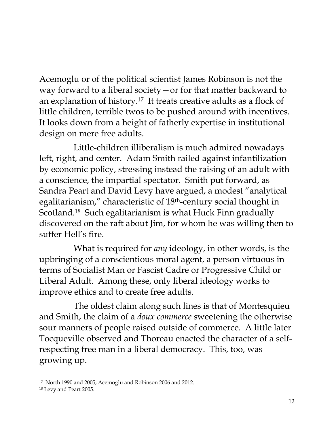Acemoglu or of the political scientist James Robinson is not the way forward to a liberal society—or for that matter backward to an explanation of history. 17 It treats creative adults as a flock of little children, terrible twos to be pushed around with incentives. It looks down from a height of fatherly expertise in institutional design on mere free adults.

Little-children illiberalism is much admired nowadays left, right, and center. Adam Smith railed against infantilization by economic policy, stressing instead the raising of an adult with a conscience, the impartial spectator. Smith put forward, as Sandra Peart and David Levy have argued, a modest "analytical egalitarianism," characteristic of 18<sup>th</sup>-century social thought in Scotland.<sup>18</sup> Such egalitarianism is what Huck Finn gradually discovered on the raft about Jim, for whom he was willing then to suffer Hell's fire.

What is required for *any* ideology, in other words, is the upbringing of a conscientious moral agent, a person virtuous in terms of Socialist Man or Fascist Cadre or Progressive Child or Liberal Adult. Among these, only liberal ideology works to improve ethics and to create free adults.

The oldest claim along such lines is that of Montesquieu and Smith, the claim of a *doux commerce* sweetening the otherwise sour manners of people raised outside of commerce. A little later Tocqueville observed and Thoreau enacted the character of a selfrespecting free man in a liberal democracy. This, too, was growing up.

<sup>17</sup> North 1990 and 2005; Acemoglu and Robinson 2006 and 2012.

<sup>18</sup> Levy and Peart 2005.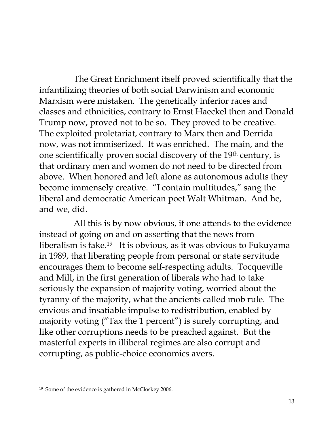The Great Enrichment itself proved scientifically that the infantilizing theories of both social Darwinism and economic Marxism were mistaken. The genetically inferior races and classes and ethnicities, contrary to Ernst Haeckel then and Donald Trump now, proved not to be so. They proved to be creative. The exploited proletariat, contrary to Marx then and Derrida now, was not immiserized. It was enriched. The main, and the one scientifically proven social discovery of the 19th century, is that ordinary men and women do not need to be directed from above. When honored and left alone as autonomous adults they become immensely creative. "I contain multitudes," sang the liberal and democratic American poet Walt Whitman. And he, and we, did.

All this is by now obvious, if one attends to the evidence instead of going on and on asserting that the news from liberalism is fake.<sup>19</sup> It is obvious, as it was obvious to Fukuyama in 1989, that liberating people from personal or state servitude encourages them to become self-respecting adults. Tocqueville and Mill, in the first generation of liberals who had to take seriously the expansion of majority voting, worried about the tyranny of the majority, what the ancients called mob rule. The envious and insatiable impulse to redistribution, enabled by majority voting ("Tax the 1 percent") is surely corrupting, and like other corruptions needs to be preached against. But the masterful experts in illiberal regimes are also corrupt and corrupting, as public-choice economics avers.

<sup>19</sup> Some of the evidence is gathered in McCloskey 2006.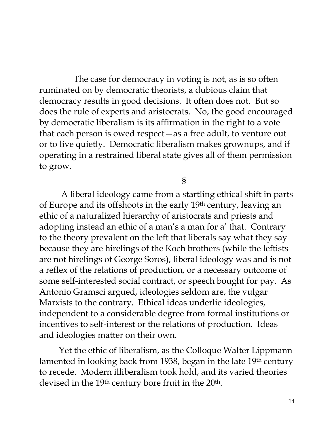The case for democracy in voting is not, as is so often ruminated on by democratic theorists, a dubious claim that democracy results in good decisions. It often does not. But so does the rule of experts and aristocrats. No, the good encouraged by democratic liberalism is its affirmation in the right to a vote that each person is owed respect—as a free adult, to venture out or to live quietly. Democratic liberalism makes grownups, and if operating in a restrained liberal state gives all of them permission to grow.

§

A liberal ideology came from a startling ethical shift in parts of Europe and its offshoots in the early 19th century, leaving an ethic of a naturalized hierarchy of aristocrats and priests and adopting instead an ethic of a man's a man for a' that. Contrary to the theory prevalent on the left that liberals say what they say because they are hirelings of the Koch brothers (while the leftists are not hirelings of George Soros), liberal ideology was and is not a reflex of the relations of production, or a necessary outcome of some self-interested social contract, or speech bought for pay. As Antonio Gramsci argued, ideologies seldom are, the vulgar Marxists to the contrary. Ethical ideas underlie ideologies, independent to a considerable degree from formal institutions or incentives to self-interest or the relations of production. Ideas and ideologies matter on their own.

Yet the ethic of liberalism, as the Colloque Walter Lippmann lamented in looking back from 1938, began in the late 19<sup>th</sup> century to recede. Modern illiberalism took hold, and its varied theories devised in the 19<sup>th</sup> century bore fruit in the 20<sup>th</sup>.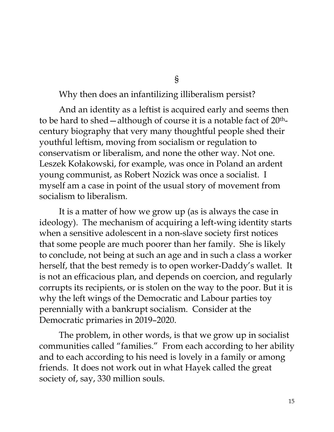§

Why then does an infantilizing illiberalism persist?

And an identity as a leftist is acquired early and seems then to be hard to shed—although of course it is a notable fact of 20thcentury biography that very many thoughtful people shed their youthful leftism, moving from socialism or regulation to conservatism or liberalism, and none the other way. Not one. Leszek Kołakowski, for example, was once in Poland an ardent young communist, as Robert Nozick was once a socialist. I myself am a case in point of the usual story of movement from socialism to liberalism.

It is a matter of how we grow up (as is always the case in ideology). The mechanism of acquiring a left-wing identity starts when a sensitive adolescent in a non-slave society first notices that some people are much poorer than her family. She is likely to conclude, not being at such an age and in such a class a worker herself, that the best remedy is to open worker-Daddy's wallet. It is not an efficacious plan, and depends on coercion, and regularly corrupts its recipients, or is stolen on the way to the poor. But it is why the left wings of the Democratic and Labour parties toy perennially with a bankrupt socialism. Consider at the Democratic primaries in 2019–2020.

The problem, in other words, is that we grow up in socialist communities called "families." From each according to her ability and to each according to his need is lovely in a family or among friends. It does not work out in what Hayek called the great society of, say, 330 million souls.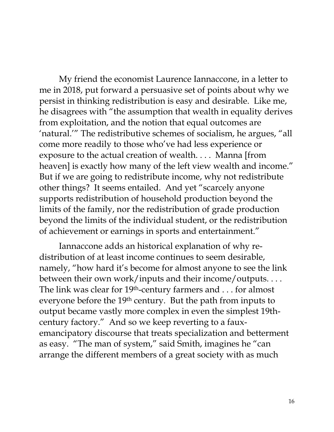My friend the economist Laurence Iannaccone, in a letter to me in 2018, put forward a persuasive set of points about why we persist in thinking redistribution is easy and desirable. Like me, he disagrees with "the assumption that wealth in equality derives from exploitation, and the notion that equal outcomes are 'natural.'" The redistributive schemes of socialism, he argues, "all come more readily to those who've had less experience or exposure to the actual creation of wealth. . . . Manna [from heaven] is exactly how many of the left view wealth and income." But if we are going to redistribute income, why not redistribute other things? It seems entailed. And yet "scarcely anyone supports redistribution of household production beyond the limits of the family, nor the redistribution of grade production beyond the limits of the individual student, or the redistribution of achievement or earnings in sports and entertainment."

Iannaccone adds an historical explanation of why redistribution of at least income continues to seem desirable, namely, "how hard it's become for almost anyone to see the link between their own work/inputs and their income/outputs. . . . The link was clear for 19th-century farmers and . . . for almost everyone before the 19th century. But the path from inputs to output became vastly more complex in even the simplest 19thcentury factory." And so we keep reverting to a fauxemancipatory discourse that treats specialization and betterment as easy. "The man of system," said Smith, imagines he "can arrange the different members of a great society with as much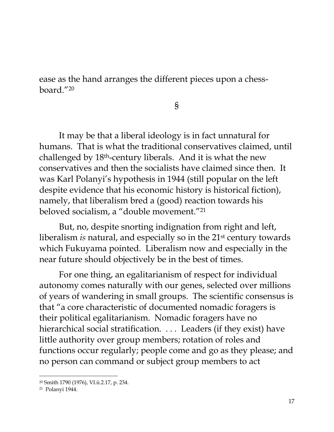ease as the hand arranges the different pieces upon a chessboard."<sup>20</sup>

§

It may be that a liberal ideology is in fact unnatural for humans. That is what the traditional conservatives claimed, until challenged by 18th-century liberals. And it is what the new conservatives and then the socialists have claimed since then. It was Karl Polanyi's hypothesis in 1944 (still popular on the left despite evidence that his economic history is historical fiction), namely, that liberalism bred a (good) reaction towards his beloved socialism, a "double movement."<sup>21</sup>

But, no, despite snorting indignation from right and left, liberalism *is* natural, and especially so in the 21st century towards which Fukuyama pointed. Liberalism now and especially in the near future should objectively be in the best of times.

For one thing, an egalitarianism of respect for individual autonomy comes naturally with our genes, selected over millions of years of wandering in small groups. The scientific consensus is that "a core characteristic of documented nomadic foragers is their political egalitarianism. Nomadic foragers have no hierarchical social stratification. . . . Leaders (if they exist) have little authority over group members; rotation of roles and functions occur regularly; people come and go as they please; and no person can command or subject group members to act

<sup>20</sup> Smith 1790 (1976), VI.ii.2.17, p. 234.

<sup>21</sup> Polanyi 1944.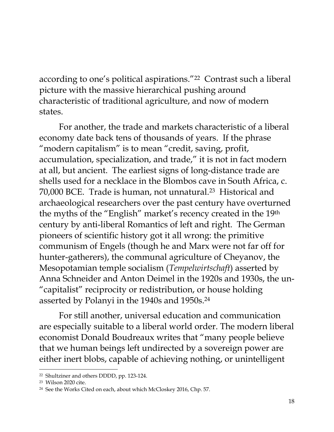according to one's political aspirations."<sup>22</sup> Contrast such a liberal picture with the massive hierarchical pushing around characteristic of traditional agriculture, and now of modern states.

For another, the trade and markets characteristic of a liberal economy date back tens of thousands of years. If the phrase "modern capitalism" is to mean "credit, saving, profit, accumulation, specialization, and trade," it is not in fact modern at all, but ancient. The earliest signs of long-distance trade are shells used for a necklace in the Blombos cave in South Africa, c. 70,000 BCE. Trade is human, not unnatural.<sup>23</sup> Historical and archaeological researchers over the past century have overturned the myths of the "English" market's recency created in the 19th century by anti-liberal Romantics of left and right. The German pioneers of scientific history got it all wrong: the primitive communism of Engels (though he and Marx were not far off for hunter-gatherers), the communal agriculture of Cheyanov, the Mesopotamian temple socialism (*Tempelwirtschaft*) asserted by Anna Schneider and Anton Deimel in the 1920s and 1930s, the un- "capitalist" reciprocity or redistribution, or house holding asserted by Polanyi in the 1940s and 1950s. 24

For still another, universal education and communication are especially suitable to a liberal world order. The modern liberal economist Donald Boudreaux writes that "many people believe that we human beings left undirected by a sovereign power are either inert blobs, capable of achieving nothing, or unintelligent

<sup>22</sup> Shultziner and others DDDD, pp. 123-124.

<sup>23</sup> Wilson 2020 cite.

<sup>24</sup> See the Works Cited on each, about which McCloskey 2016, Chp. 57.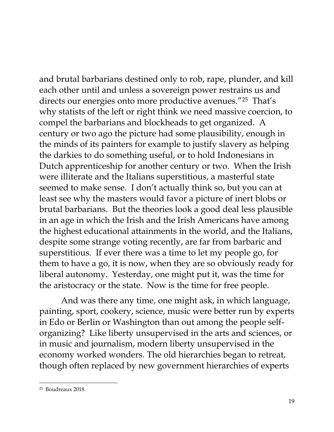and brutal barbarians destined only to rob, rape, plunder, and kill each other until and unless a sovereign power restrains us and directs our energies onto more productive avenues."<sup>25</sup> That's why statists of the left or right think we need massive coercion, to compel the barbarians and blockheads to get organized. A century or two ago the picture had some plausibility, enough in the minds of its painters for example to justify slavery as helping the darkies to do something useful, or to hold Indonesians in Dutch apprenticeship for another century or two. When the Irish were illiterate and the Italians superstitious, a masterful state seemed to make sense. I don't actually think so, but you can at least see why the masters would favor a picture of inert blobs or brutal barbarians. But the theories look a good deal less plausible in an age in which the Irish and the Irish Americans have among the highest educational attainments in the world, and the Italians, despite some strange voting recently, are far from barbaric and superstitious. If ever there was a time to let my people go, for them to have a go, it is now, when they are so obviously ready for liberal autonomy. Yesterday, one might put it, was the time for the aristocracy or the state. Now is the time for free people.

And was there any time, one might ask, in which language, painting, sport, cookery, science, music were better run by experts in Edo or Berlin or Washington than out among the people selforganizing? Like liberty unsupervised in the arts and sciences, or in music and journalism, modern liberty unsupervised in the economy worked wonders. The old hierarchies began to retreat, though often replaced by new government hierarchies of experts

<sup>25</sup> Boudreaux 2018.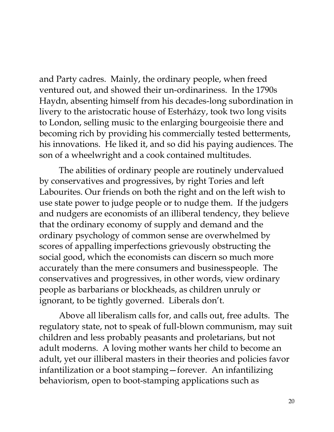and Party cadres. Mainly, the ordinary people, when freed ventured out, and showed their un-ordinariness. In the 1790s Haydn, absenting himself from his decades-long subordination in livery to the aristocratic house of Esterházy, took two long visits to London, selling music to the enlarging bourgeoisie there and becoming rich by providing his commercially tested betterments, his innovations. He liked it, and so did his paying audiences. The son of a wheelwright and a cook contained multitudes.

The abilities of ordinary people are routinely undervalued by conservatives and progressives, by right Tories and left Labourites. Our friends on both the right and on the left wish to use state power to judge people or to nudge them. If the judgers and nudgers are economists of an illiberal tendency, they believe that the ordinary economy of supply and demand and the ordinary psychology of common sense are overwhelmed by scores of appalling imperfections grievously obstructing the social good, which the economists can discern so much more accurately than the mere consumers and businesspeople. The conservatives and progressives, in other words, view ordinary people as barbarians or blockheads, as children unruly or ignorant, to be tightly governed. Liberals don't.

Above all liberalism calls for, and calls out, free adults. The regulatory state, not to speak of full-blown communism, may suit children and less probably peasants and proletarians, but not adult moderns. A loving mother wants her child to become an adult, yet our illiberal masters in their theories and policies favor infantilization or a boot stamping—forever. An infantilizing behaviorism, open to boot-stamping applications such as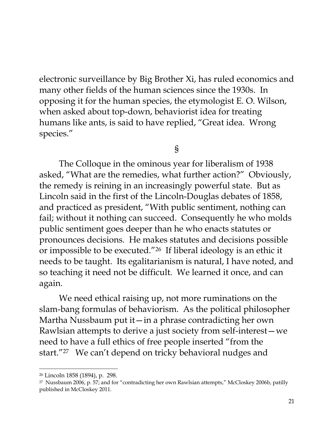electronic surveillance by Big Brother Xi, has ruled economics and many other fields of the human sciences since the 1930s. In opposing it for the human species, the etymologist E. O. Wilson, when asked about top-down, behaviorist idea for treating humans like ants, is said to have replied, "Great idea. Wrong species."

§

The Colloque in the ominous year for liberalism of 1938 asked, "What are the remedies, what further action?" Obviously, the remedy is reining in an increasingly powerful state. But as Lincoln said in the first of the Lincoln-Douglas debates of 1858, and practiced as president, "With public sentiment, nothing can fail; without it nothing can succeed. Consequently he who molds public sentiment goes deeper than he who enacts statutes or pronounces decisions. He makes statutes and decisions possible or impossible to be executed."<sup>26</sup> If liberal ideology is an ethic it needs to be taught. Its egalitarianism is natural, I have noted, and so teaching it need not be difficult. We learned it once, and can again.

We need ethical raising up, not more ruminations on the slam-bang formulas of behaviorism. As the political philosopher Martha Nussbaum put it—in a phrase contradicting her own Rawlsian attempts to derive a just society from self-interest—we need to have a full ethics of free people inserted "from the start."<sup>27</sup> We can't depend on tricky behavioral nudges and

<sup>26</sup> Lincoln 1858 (1894), p. 298.

<sup>27</sup> Nussbaum 2006, p. 57; and for "contradicting her own Rawlsian attempts," McCloskey 2006b, patilly published in McCloskey 2011.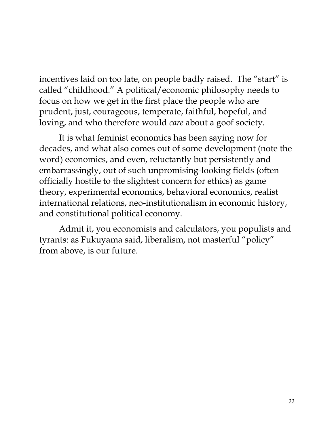incentives laid on too late, on people badly raised. The "start" is called "childhood." A political/economic philosophy needs to focus on how we get in the first place the people who are prudent, just, courageous, temperate, faithful, hopeful, and loving, and who therefore would *care* about a goof society.

It is what feminist economics has been saying now for decades, and what also comes out of some development (note the word) economics, and even, reluctantly but persistently and embarrassingly, out of such unpromising-looking fields (often officially hostile to the slightest concern for ethics) as game theory, experimental economics, behavioral economics, realist international relations, neo-institutionalism in economic history, and constitutional political economy.

Admit it, you economists and calculators, you populists and tyrants: as Fukuyama said, liberalism, not masterful "policy" from above, is our future.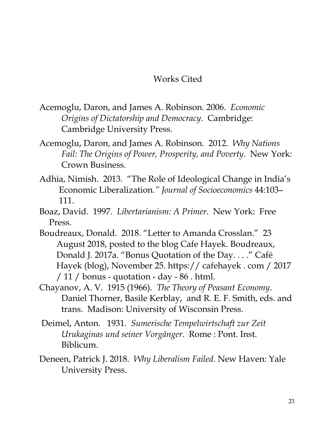## Works Cited

- Acemoglu, Daron, and James A. Robinson. 2006. *Economic Origins of Dictatorship and Democracy*. Cambridge: Cambridge University Press.
- Acemoglu, Daron, and James A. Robinson. 2012. *Why Nations Fail: The Origins of Power, Prosperity, and Poverty*. New York: Crown Business.
- Adhia, Nimish. 2013. "The Role of Ideological Change in India's Economic Liberalization*." Journal of Socioeconomics* 44:103– 111.
- Boaz, David. 1997. *Libertarianism: A Primer*. New York: Free Press.
- Boudreaux, Donald. 2018. "Letter to Amanda Crosslan." 23 August 2018, posted to the blog Cafe Hayek. Boudreaux, Donald J. 2017a. "Bonus Quotation of the Day. . . ." Café Hayek (blog), November 25. https:// cafehayek . com / 2017 / 11 / bonus - quotation - day - 86 . html.
- Chayanov, A. V. 1915 (1966). *The Theory of Peasant Economy*. Daniel Thorner, Basile Kerblay, and R. E. F. Smith, eds. and trans. Madison: University of Wisconsin Press.
- Deimel, Anton. 1931. *Sumerische Tempelwirtschaft zur Zeit Urukaginas und seiner Vorgänger*. Rome : Pont. Inst. Biblicum.
- Deneen, Patrick J. 2018. *Why Liberalism Failed*. New Haven: Yale University Press.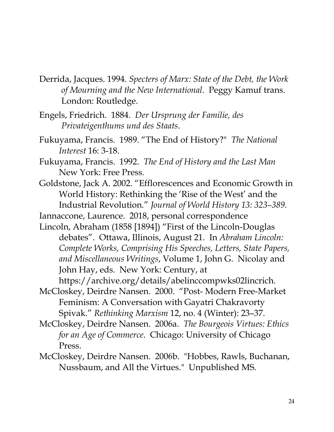- Derrida, Jacques. 1994. *Specters of Marx: State of the Debt, the Work of Mourning and the New International*. Peggy Kamuf trans. London: Routledge.
- Engels, Friedrich. 1884. *Der Ursprung der Familie, des Privateigenthums und des Staats*.
- Fukuyama, Francis. 1989. "The End of History?" *The National Interest* 16: 3-18.
- Fukuyama, Francis. 1992. *The End of History and the Last Man*  New York: Free Press*.*
- Goldstone, Jack A. 2002. "Efflorescences and Economic Growth in World History: Rethinking the 'Rise of the West' and the Industrial Revolution*.*" *Journal of World History 13: 323–389.*
- Iannaccone, Laurence. 2018, personal correspondence
- Lincoln, Abraham (1858 [1894]) "First of the Lincoln-Douglas debates". Ottawa, Illinois, August 21. In *Abraham Lincoln: Complete Works, Comprising His Speeches, Letters, State Papers, and Miscellaneous Writings*, Volume 1, John G. Nicolay and John Hay, eds. New York: Century, at
	- https://archive.org/details/abelinccompwks02lincrich.
- McCloskey, Deirdre Nansen. 2000. "Post- Modern Free-Market Feminism: A Conversation with Gayatri Chakravorty Spivak." *Rethinking Marxism* 12, no. 4 (Winter): 23–37.
- McCloskey, Deirdre Nansen. 2006a. *The Bourgeois Virtues: Ethics for an Age of Commerce*. Chicago: University of Chicago Press.
- McCloskey, Deirdre Nansen. 2006b. "Hobbes, Rawls, Buchanan, Nussbaum, and All the Virtues." Unpublished MS.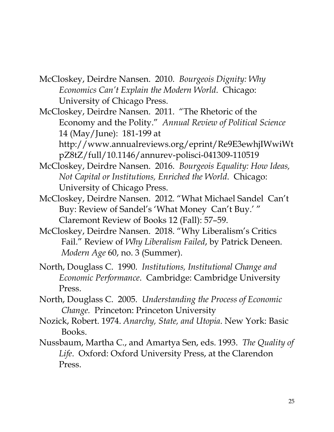- McCloskey, Deirdre Nansen. 2010. *Bourgeois Dignity: Why Economics Can't Explain the Modern World*. Chicago: University of Chicago Press.
- McCloskey, Deirdre Nansen. 2011. "The Rhetoric of the Economy and the Polity." *Annual Review of Political Science* 14 (May/June): 181-199 at http://www.annualreviews.org/eprint/Re9E3ewhjIWwiWt

pZ8tZ/full/10.1146/annurev-polisci-041309-110519

- McCloskey, Deirdre Nansen. 2016. *Bourgeois Equality: How Ideas, Not Capital or Institutions, Enriched the World*. Chicago: University of Chicago Press.
- McCloskey, Deirdre Nansen. 2012. "What Michael Sandel Can't Buy: Review of Sandel's 'What Money Can't Buy.' " Claremont Review of Books 12 (Fall): 57–59.
- McCloskey, Deirdre Nansen. 2018. "Why Liberalism's Critics Fail." Review of *Why Liberalism Failed*, by Patrick Deneen. *Modern Age* 60, no. 3 (Summer).
- North, Douglass C. 1990. *Institutions, Institutional Change and Economic Performance*. Cambridge: Cambridge University Press.
- North, Douglass C. 2005. *Understanding the Process of Economic Change.* Princeton: Princeton University
- Nozick, Robert. 1974. *Anarchy, State, and Utopia*. New York: Basic Books.
- Nussbaum, Martha C., and Amartya Sen, eds. 1993. *The Quality of Life*. Oxford: Oxford University Press, at the Clarendon Press.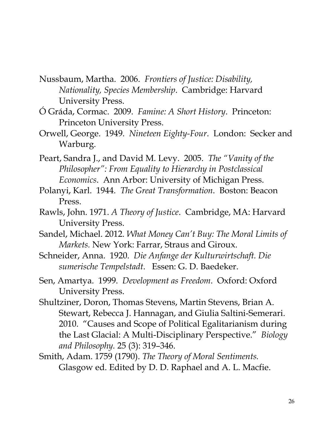- Nussbaum, Martha. 2006. *Frontiers of Justice: Disability, Nationality, Species Membership*. Cambridge: Harvard University Press.
- Ó Gráda, Cormac. 2009. *Famine: A Short History*. Princeton: Princeton University Press.
- Orwell, George. 1949. *Nineteen Eighty-Four*. London: Secker and Warburg.
- Peart, Sandra J., and David M. Levy. 2005. *The "Vanity of the Philosopher": From Equality to Hierarchy in Postclassical Economics*. Ann Arbor: University of Michigan Press.
- Polanyi, Karl. 1944. *The Great Transformation*. Boston: Beacon Press.
- Rawls, John. 1971. *A Theory of Justice*. Cambridge, MA: Harvard University Press.
- Sandel, Michael. 2012. *What Money Can't Buy: The Moral Limits of Markets.* New York: Farrar, Straus and Giroux.
- Schneider, Anna. 1920. *Die Anfange der Kulturwirtschaft. Die sumerische Tempelstadt*. Essen: G. D. Baedeker.
- Sen, Amartya. 1999. *Development as Freedom*. Oxford: Oxford University Press.
- Shultziner, Doron, Thomas Stevens, Martin Stevens, Brian A. Stewart, Rebecca J. Hannagan, and Giulia Saltini-Semerari. 2010. "Causes and Scope of Political Egalitarianism during the Last Glacial: A Multi-Disciplinary Perspective." *Biology and Philosophy.* 25 (3): 319–346.
- Smith, Adam. 1759 (1790). *The Theory of Moral Sentiments.* Glasgow ed. Edited by D. D. Raphael and A. L. Macfie.